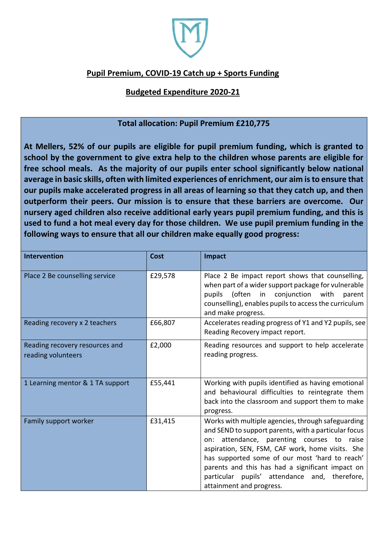

## **Pupil Premium, COVID-19 Catch up + Sports Funding**

## **Budgeted Expenditure 2020-21**

## **Total allocation: Pupil Premium £210,775**

**At Mellers, 52% of our pupils are eligible for pupil premium funding, which is granted to school by the government to give extra help to the children whose parents are eligible for free school meals. As the majority of our pupils enter school significantly below national average in basic skills, often with limited experiences of enrichment, our aim is to ensure that our pupils make accelerated progress in all areas of learning so that they catch up, and then outperform their peers. Our mission is to ensure that these barriers are overcome. Our nursery aged children also receive additional early years pupil premium funding, and this is used to fund a hot meal every day for those children. We use pupil premium funding in the following ways to ensure that all our children make equally good progress:** 

| <b>Intervention</b>                                  | <b>Cost</b> | Impact                                                                                                                                                                                                                                                                                                                                                                                          |
|------------------------------------------------------|-------------|-------------------------------------------------------------------------------------------------------------------------------------------------------------------------------------------------------------------------------------------------------------------------------------------------------------------------------------------------------------------------------------------------|
| Place 2 Be counselling service                       | £29,578     | Place 2 Be impact report shows that counselling,<br>when part of a wider support package for vulnerable<br>pupils (often in<br>conjunction with<br>parent<br>counselling), enables pupils to access the curriculum<br>and make progress.                                                                                                                                                        |
| Reading recovery x 2 teachers                        | £66,807     | Accelerates reading progress of Y1 and Y2 pupils, see<br>Reading Recovery impact report.                                                                                                                                                                                                                                                                                                        |
| Reading recovery resources and<br>reading volunteers | £2,000      | Reading resources and support to help accelerate<br>reading progress.                                                                                                                                                                                                                                                                                                                           |
| 1 Learning mentor & 1 TA support                     | £55,441     | Working with pupils identified as having emotional<br>and behavioural difficulties to reintegrate them<br>back into the classroom and support them to make<br>progress.                                                                                                                                                                                                                         |
| Family support worker                                | £31,415     | Works with multiple agencies, through safeguarding<br>and SEND to support parents, with a particular focus<br>on: attendance, parenting courses to raise<br>aspiration, SEN, FSM, CAF work, home visits. She<br>has supported some of our most 'hard to reach'<br>parents and this has had a significant impact on<br>particular pupils' attendance and, therefore,<br>attainment and progress. |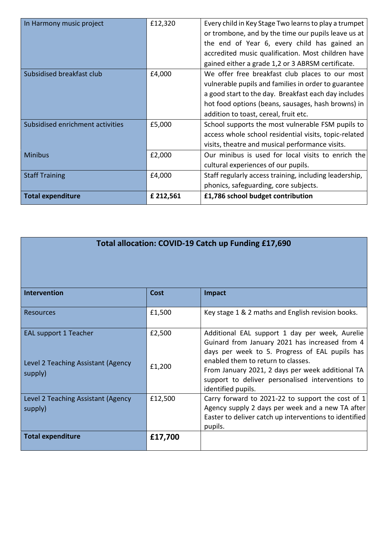| In Harmony music project         | £12,320   | Every child in Key Stage Two learns to play a trumpet<br>or trombone, and by the time our pupils leave us at |
|----------------------------------|-----------|--------------------------------------------------------------------------------------------------------------|
|                                  |           | the end of Year 6, every child has gained an                                                                 |
|                                  |           | accredited music qualification. Most children have                                                           |
|                                  |           | gained either a grade 1,2 or 3 ABRSM certificate.                                                            |
| Subsidised breakfast club        | £4,000    | We offer free breakfast club places to our most                                                              |
|                                  |           | vulnerable pupils and families in order to guarantee                                                         |
|                                  |           | a good start to the day. Breakfast each day includes                                                         |
|                                  |           | hot food options (beans, sausages, hash browns) in                                                           |
|                                  |           | addition to toast, cereal, fruit etc.                                                                        |
| Subsidised enrichment activities | £5,000    | School supports the most vulnerable FSM pupils to                                                            |
|                                  |           | access whole school residential visits, topic-related                                                        |
|                                  |           | visits, theatre and musical performance visits.                                                              |
| <b>Minibus</b>                   | £2,000    | Our minibus is used for local visits to enrich the                                                           |
|                                  |           | cultural experiences of our pupils.                                                                          |
| <b>Staff Training</b>            | £4,000    | Staff regularly access training, including leadership,                                                       |
|                                  |           | phonics, safeguarding, core subjects.                                                                        |
| <b>Total expenditure</b>         | £ 212,561 | £1,786 school budget contribution                                                                            |

| Total allocation: COVID-19 Catch up Funding £17,690 |  |  |  |  |
|-----------------------------------------------------|--|--|--|--|
|-----------------------------------------------------|--|--|--|--|

| <b>Intervention</b>                                                           | <b>Cost</b>      | <b>Impact</b>                                                                                                                                                                                                                                                                                                          |
|-------------------------------------------------------------------------------|------------------|------------------------------------------------------------------------------------------------------------------------------------------------------------------------------------------------------------------------------------------------------------------------------------------------------------------------|
| <b>Resources</b>                                                              | £1,500           | Key stage 1 & 2 maths and English revision books.                                                                                                                                                                                                                                                                      |
| <b>EAL support 1 Teacher</b><br>Level 2 Teaching Assistant (Agency<br>supply) | £2,500<br>£1,200 | Additional EAL support 1 day per week, Aurelie<br>Guinard from January 2021 has increased from 4<br>days per week to 5. Progress of EAL pupils has<br>enabled them to return to classes.<br>From January 2021, 2 days per week additional TA<br>support to deliver personalised interventions to<br>identified pupils. |
| Level 2 Teaching Assistant (Agency<br>supply)                                 | £12,500          | Carry forward to 2021-22 to support the cost of 1<br>Agency supply 2 days per week and a new TA after<br>Easter to deliver catch up interventions to identified<br>pupils.                                                                                                                                             |
| <b>Total expenditure</b>                                                      | £17,700          |                                                                                                                                                                                                                                                                                                                        |